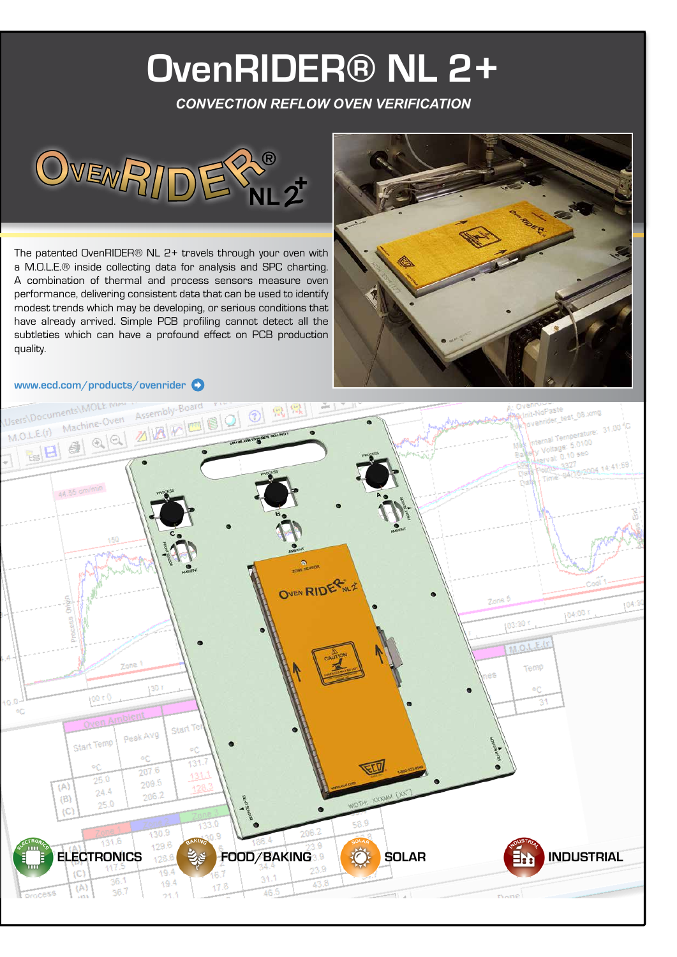# **OvenRIDER® NL 2+**

*CONVECTION REFLOW OVEN VERIFICATION*



The patented OvenRIDER® NL 2+ travels through your oven with a M.O.L.E.® inside collecting data for analysis and SPC charting. A combination of thermal and process sensors measure oven performance, delivering consistent data that can be used to identify modest trends which may be developing, or serious conditions that have already arrived. Simple PCB profiling cannot detect all the subtleties which can have a profound effect on PCB production quality.



#### **www.ecd.com/products/ovenrider**

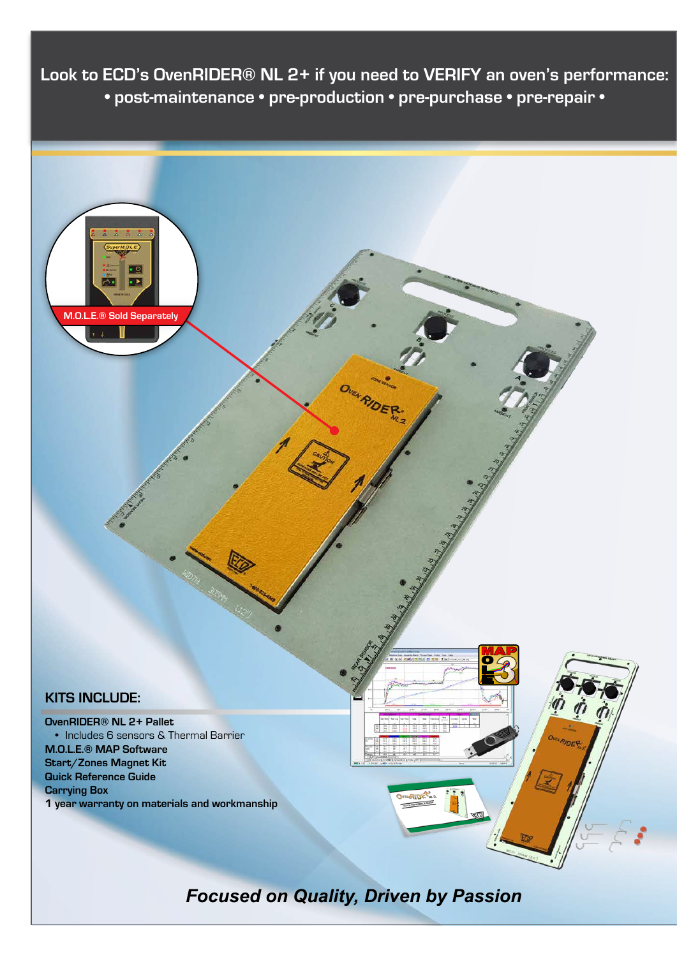**Look to ECD's OvenRIDER® NL 2+ if you need to VERIFY an oven's performance: • post-maintenance • pre-production • pre-purchase • pre-repair •** 



*Focused on Quality, Driven by Passion*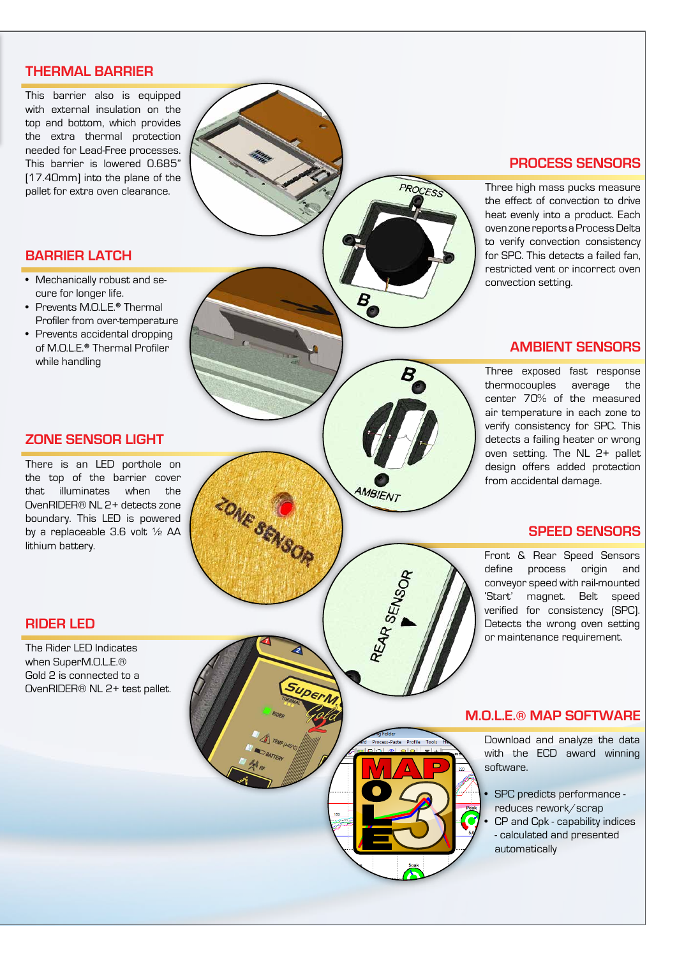## **THERMAL BARRIER**

This barrier also is equipped with external insulation on the top and bottom, which provides the extra thermal protection needed for Lead-Free processes. This barrier is lowered 0.685" [17.40mm] into the plane of the pallet for extra oven clearance.

### **BARRIER LATCH**

- Mechanically robust and se cure for longer life.
- Prevents M.O.L.E. **®** Thermal Profiler from over-temperature
- Prevents accidental dropping of M.O.L.E. **®** Thermal Profiler while handling

## **ZONE SENSOR LIGHT**

There is an LED porthole on the top of the barrier cover that illuminates when the OvenRIDER® NL 2+ detects zone boundary. This LED is powered by a replaceable 3.6 volt ½ AA lithium battery.

## **RIDER LED**

The Rider LED Indicates when SuperM.O.L.E.® Gold 2 is connected to a OvenRIDER® NL 2+ test pallet.

### **PROCESS SENSORS**

Three high mass pucks measure the effect of convection to drive heat evenly into a product. Each oven zone reports a Process Delta to verify convection consistency for SPC. This detects a failed fan, restricted vent or incorrect oven convection setting.

PROCESS

AMBIENT

REAR SENSOR

Process-Paste Profile

Too

**ZONE SENSOR** 

SUPE

## **AMBIENT SENSORS**

Three exposed fast response thermocouples average the center 70% of the measured air temperature in each zone to verify consistency for SPC. This detects a failing heater or wrong oven setting. The NL 2+ pallet design offers added protection from accidental damage.

#### **SPEED SENSORS**

Front & Rear Speed Sensors define process origin and conveyor speed with rail-mounted 'Start' magnet. Belt speed verified for consistency (SPC). Detects the wrong oven setting or maintenance requirement.

#### **M.O.L.E. ® MAP SOFTWARE**

Download and analyze the data with the ECD award winning software.

- SPC predicts performance reduces rework/scrap
- CP and Cpk capability indices - calculated and presented automatically